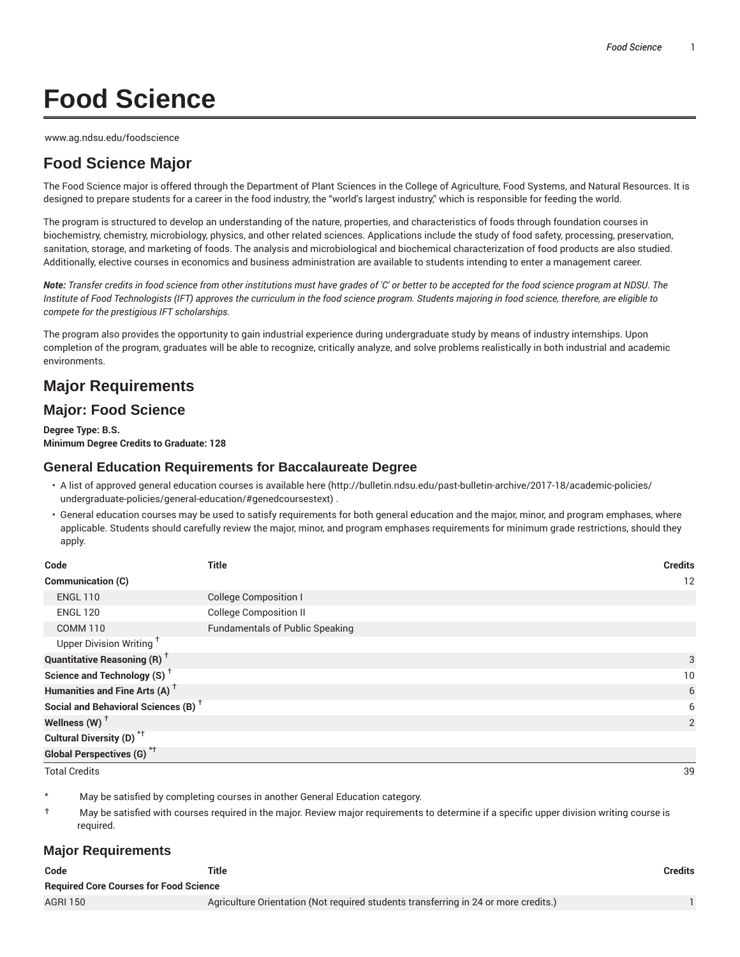# **Food Science**

www.ag.ndsu.edu/foodscience

# **Food Science Major**

The Food Science major is offered through the Department of Plant Sciences in the College of Agriculture, Food Systems, and Natural Resources. It is designed to prepare students for a career in the food industry, the "world's largest industry," which is responsible for feeding the world.

The program is structured to develop an understanding of the nature, properties, and characteristics of foods through foundation courses in biochemistry, chemistry, microbiology, physics, and other related sciences. Applications include the study of food safety, processing, preservation, sanitation, storage, and marketing of foods. The analysis and microbiological and biochemical characterization of food products are also studied. Additionally, elective courses in economics and business administration are available to students intending to enter a management career.

Note: Transfer credits in food science from other institutions must have grades of 'C' or better to be accepted for the food science program at NDSU. The Institute of Food Technologists (IFT) approves the curriculum in the food science program. Students majoring in food science, therefore, are eligible to *compete for the prestigious IFT scholarships.*

The program also provides the opportunity to gain industrial experience during undergraduate study by means of industry internships. Upon completion of the program, graduates will be able to recognize, critically analyze, and solve problems realistically in both industrial and academic environments.

## **Major Requirements**

## **Major: Food Science**

**Degree Type: B.S. Minimum Degree Credits to Graduate: 128**

### **General Education Requirements for Baccalaureate Degree**

- A list of approved general education courses is available here (http://bulletin.ndsu.edu/past-bulletin-archive/2017-18/academic-policies/ undergraduate-policies/general-education/#genedcoursestext) .
- General education courses may be used to satisfy requirements for both general education and the major, minor, and program emphases, where applicable. Students should carefully review the major, minor, and program emphases requirements for minimum grade restrictions, should they apply.

| Code                                            | <b>Title</b>                           | <b>Credits</b> |
|-------------------------------------------------|----------------------------------------|----------------|
| Communication (C)                               |                                        | 12             |
| <b>ENGL 110</b>                                 | <b>College Composition I</b>           |                |
| <b>ENGL 120</b>                                 | <b>College Composition II</b>          |                |
| <b>COMM 110</b>                                 | <b>Fundamentals of Public Speaking</b> |                |
| Upper Division Writing <sup>†</sup>             |                                        |                |
| <b>Quantitative Reasoning (R)</b> <sup>†</sup>  |                                        | 3              |
| Science and Technology (S) <sup>+</sup>         |                                        | 10             |
| Humanities and Fine Arts (A) <sup>+</sup>       |                                        | 6              |
| Social and Behavioral Sciences (B) <sup>+</sup> |                                        | 6              |
| Wellness (W) $^{\dagger}$                       |                                        | 2              |
| Cultural Diversity (D) <sup>*†</sup>            |                                        |                |
| Global Perspectives (G) <sup>*†</sup>           |                                        |                |
| <b>Total Credits</b>                            |                                        | 39             |

May be satisfied by completing courses in another General Education category.

† May be satisfied with courses required in the major. Review major requirements to determine if a specific upper division writing course is required.

## **Major Requirements**

| Code                                          | Title                                                                               | Credits |
|-----------------------------------------------|-------------------------------------------------------------------------------------|---------|
| <b>Required Core Courses for Food Science</b> |                                                                                     |         |
| <b>AGRI 150</b>                               | Agriculture Orientation (Not required students transferring in 24 or more credits.) |         |